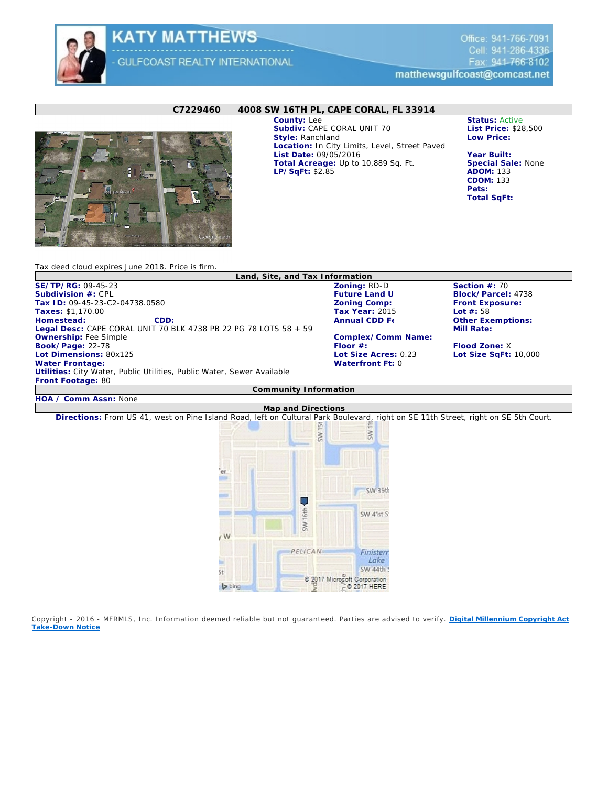

**KATY MATTHEWS** GULFCOAST REALTY INTERNATIONAL

Office: 941-766-7091 Cell: 941-286-4336 Fax: 941-766-8102 matthewsgulfcoast@comcast.net

## **C7229460 4008 SW 16TH PL, CAPE CORAL, FL 33914**



**County: Lee Status: Active** Subdiv: CAPE CORAL UNIT 70 List Price: \$28,500<br>
Style: Ranchland **Low Price: Style: Ranchland Location:** In City Limits, Level, Street Paved List Date: 09/05/2016<br>
Total Acreage: Up to 10,889 Sq. Ft. **Belief Special Sale: None** Total Acreage: Up to 10,889 Sq. Ft. **Special Sale:** *Special Sale:* PSP 2.85 **LP/SqFt: \$2.85** 

**CDOM:** 133 **Pets: Total SqFt:** 

Tax deed cloud expires June 2018. Price is firm.

| Land, Site, and Tax Information                                        |                      |                          |  |  |
|------------------------------------------------------------------------|----------------------|--------------------------|--|--|
| SE/TP/RG: 09-45-23                                                     | Zoning: RD-D         | Section $#: 70$          |  |  |
| Subdivision #: CPL                                                     | <b>Future Land U</b> | Block/Parcel: 4738       |  |  |
| Tax ID: 09-45-23-C2-04738.0580                                         | <b>Zoning Comp:</b>  | Front Exposure:          |  |  |
| Taxes: \$1,170.00                                                      | Tax Year: 2015       | Lot $#: 58$              |  |  |
| Homestead:<br>CDD:                                                     | Annual CDD Fe        | <b>Other Exemptions:</b> |  |  |
| Legal Desc: CAPE CORAL UNIT 70 BLK 4738 PB 22 PG 78 LOTS 58 + 59       |                      | Mill Rate:               |  |  |
| Ownership: Fee Simple                                                  | Complex/Comm Name:   |                          |  |  |
| Book/Page: 22-78                                                       | Floor #:             | Flood Zone: X            |  |  |
| Lot Dimensions: 80x125                                                 | Lot Size Acres: 0.23 | Lot Size SqFt: 10,000    |  |  |
| Water Frontage:                                                        | Waterfront Ft: 0     |                          |  |  |
| Utilities: City Water, Public Utilities, Public Water, Sewer Available |                      |                          |  |  |
| Front Footage: 80                                                      |                      |                          |  |  |
| Community Information                                                  |                      |                          |  |  |

**HOA / Comm Assn:** None

**Map and Directions**

**Directions:** From US 41, west on Pine Island Road, left on Cultural Park Boulevard, right on SE 11th Street, right on SE 5th Court.

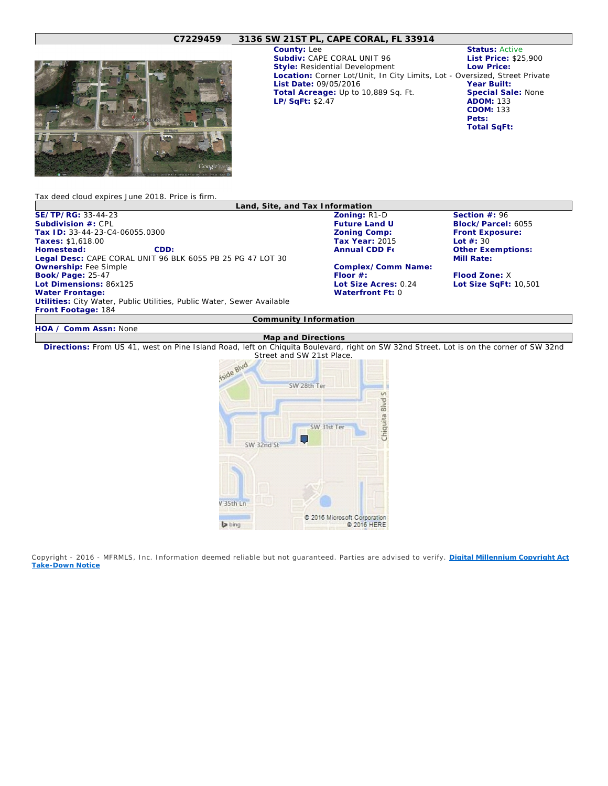## **C7229459 3136 SW 21ST PL, CAPE CORAL, FL 33914**



**County:** Lee **Status:** Active Subdiv: CAPE CORAL UNIT 96 List Price: \$25,900<br>
Style: Residential Development Low Price: **Style: Residential Development** Location: Corner Lot/Unit, In City Limits, Lot - Oversized, Street Private<br>List Date: 09/05/2016 **Priori Private** Year Built: List Date: 09/05/2016<br>
Total Acreage: Up to 10,889 Sq. Ft. Special Sale: None Total Acreage: Up to 10,889 Sq. Ft. **LP/SqFt:** \$2.47 **ADOM:** 133 **CDOM:** 133

**Pets: Total SqFt:** 

| Tax deed cloud expires June 2018. Price is firm.                       |                      |                          |  |  |
|------------------------------------------------------------------------|----------------------|--------------------------|--|--|
| Land, Site, and Tax Information                                        |                      |                          |  |  |
| SE/TP/RG: 33-44-23                                                     | Zoning: R1-D         | Section $#: 96$          |  |  |
| Subdivision $#$ : CPL                                                  | <b>Future Land U</b> | Block/Parcel: 6055       |  |  |
| Tax ID: 33-44-23-C4-06055.0300                                         | <b>Zoning Comp:</b>  | Front Exposure:          |  |  |
| Taxes: \$1.618.00                                                      | Tax Year: 2015       | Lot $#: 30$              |  |  |
| Homestead:<br>CDD:                                                     | Annual CDD Fe        | <b>Other Exemptions:</b> |  |  |
| Legal Desc: CAPE CORAL UNIT 96 BLK 6055 PB 25 PG 47 LOT 30             |                      | Mill Rate:               |  |  |
| Ownership: Fee Simple                                                  | Complex/Comm Name:   |                          |  |  |
| Book/Page: 25-47                                                       | Floor #:             | Flood Zone: X            |  |  |
| Lot Dimensions: 86x125                                                 | Lot Size Acres: 0.24 | Lot Size SqFt: 10,501    |  |  |
| Water Frontage:                                                        | Waterfront Ft: 0     |                          |  |  |
| Utilities: City Water, Public Utilities, Public Water, Sewer Available |                      |                          |  |  |
| Front Footage: 184                                                     |                      |                          |  |  |
| Community Information                                                  |                      |                          |  |  |
| HOA / Comm Assn: None                                                  |                      |                          |  |  |

**Map and Directions Directions:** From US 41, west on Pine Island Road, left on Chiquita Boulevard, right on SW 32nd Street. Lot is on the corner of SW 32nd

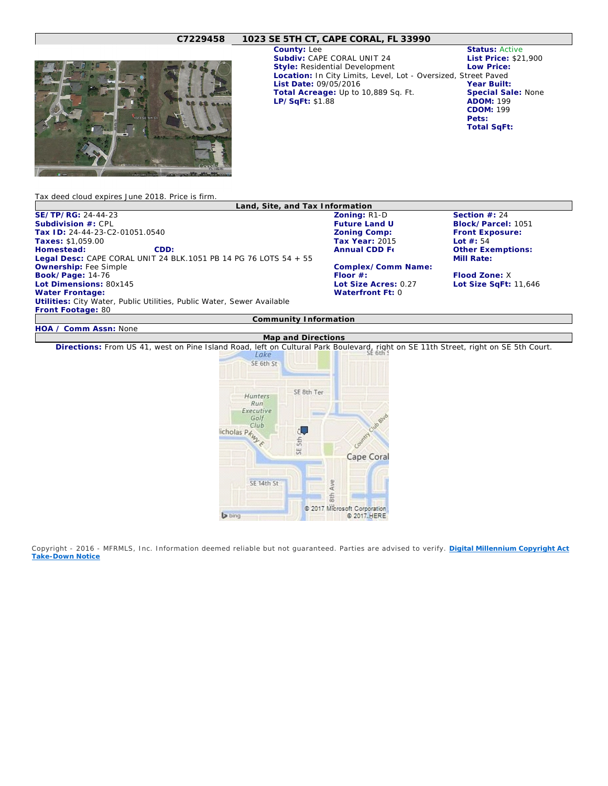## **C7229458 1023 SE 5TH CT, CAPE CORAL, FL 33990**



**County:** Lee **Status:** Active **Subdiv:** CAPE CORAL UNIT 24 **List Price:** \$21,900 **Style:** Residential Development **Low Price: Location:** In City Limits, Level, Lot - Oversized, Street Paved List Date: 09/05/2016<br>
Total Acreage: Up to 10,889 Sq. Ft. Special Sale: None Total Acreage: Up to 10,889 Sq. Ft. **LP/SqFt:** \$1.88 **ADOM:** 199

**CDOM:** 199 **Pets: Total SqFt:** 

| Tax deed cloud expires June 2018. Price is firm.                       |                      |                          |  |  |
|------------------------------------------------------------------------|----------------------|--------------------------|--|--|
| Land, Site, and Tax Information                                        |                      |                          |  |  |
| SE/TP/RG: 24-44-23                                                     | Zoning: R1-D         | Section $#: 24$          |  |  |
| Subdivision $#:$ CPL                                                   | <b>Future Land U</b> | Block/Parcel: 1051       |  |  |
| Tax ID: 24-44-23-C2-01051.0540                                         | <b>Zoning Comp:</b>  | Front Exposure:          |  |  |
| Taxes: \$1,059.00                                                      | Tax Year: 2015       | Lot $#: 54$              |  |  |
| Homestead:<br>CDD:                                                     | Annual CDD Fe        | <b>Other Exemptions:</b> |  |  |
| Legal Desc: CAPE CORAL UNIT 24 BLK.1051 PB 14 PG 76 LOTS 54 + 55       |                      | Mill Rate:               |  |  |
| Ownership: Fee Simple                                                  | Complex/Comm Name:   |                          |  |  |
| Book/Page: 14-76                                                       | Floor $#$ :          | Flood Zone: X            |  |  |
| Lot Dimensions: 80x145                                                 | Lot Size Acres: 0.27 | Lot Size SqFt: 11,646    |  |  |
| Water Frontage:                                                        | Waterfront Ft: 0     |                          |  |  |
| Utilities: City Water, Public Utilities, Public Water, Sewer Available |                      |                          |  |  |
| Front Footage: 80                                                      |                      |                          |  |  |
| Community Information                                                  |                      |                          |  |  |
| HOA / Comm Assn: None                                                  |                      |                          |  |  |
| Map and Directions                                                     |                      |                          |  |  |

**Directions:** From US 41, west on Pine Island Road, left on Cultural Park Boulevard, right on SE 11th Street, right on SE 5th Court.